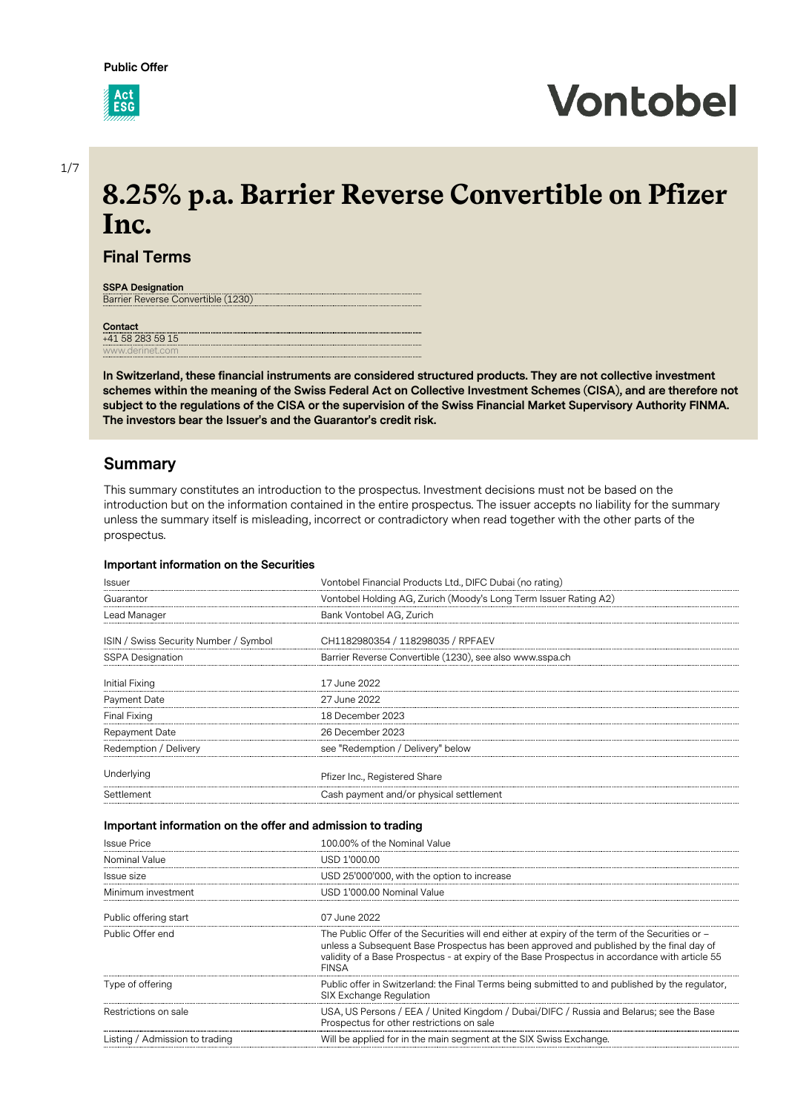

# 1/7

# **8.25% p.a. Barrier Reverse Convertible on Pfizer Inc.**

# **Final Terms**

**SSPA Designation** Barrier Reverse Convertible (1230)

**Contact** +41 58 283 59 15 ww.

**In Switzerland, these financial instruments are considered structured products. They are not collective investment schemes within the meaning of the Swiss Federal Act on Collective Investment Schemes (CISA), and are therefore not subject to the regulations of the CISA or the supervision of the Swiss Financial Market Supervisory Authority FINMA. The investors bear the Issuer's and the Guarantor's credit risk.**

# **Summary**

This summary constitutes an introduction to the prospectus. Investment decisions must not be based on the introduction but on the information contained in the entire prospectus. The issuer accepts no liability for the summary unless the summary itself is misleading, incorrect or contradictory when read together with the other parts of the prospectus.

# **Important information on the Securities**

| Issuer                                                                            | Vontobel Financial Products Ltd., DIFC Dubai (no rating)                                                                                                                                                                                                                                                     |  |  |
|-----------------------------------------------------------------------------------|--------------------------------------------------------------------------------------------------------------------------------------------------------------------------------------------------------------------------------------------------------------------------------------------------------------|--|--|
| Guarantor                                                                         | Vontobel Holding AG, Zurich (Moody's Long Term Issuer Rating A2)                                                                                                                                                                                                                                             |  |  |
| Lead Manager                                                                      | Bank Vontobel AG, Zurich                                                                                                                                                                                                                                                                                     |  |  |
| ISIN / Swiss Security Number / Symbol                                             | CH1182980354 / 118298035 / RPFAEV                                                                                                                                                                                                                                                                            |  |  |
| <b>SSPA Designation</b>                                                           | Barrier Reverse Convertible (1230), see also www.sspa.ch                                                                                                                                                                                                                                                     |  |  |
| Initial Fixing                                                                    | 17 June 2022                                                                                                                                                                                                                                                                                                 |  |  |
| Payment Date                                                                      | 27 June 2022                                                                                                                                                                                                                                                                                                 |  |  |
| Final Fixing                                                                      | 18 December 2023                                                                                                                                                                                                                                                                                             |  |  |
| <b>Repayment Date</b>                                                             | 26 December 2023                                                                                                                                                                                                                                                                                             |  |  |
| Redemption / Delivery                                                             | see "Redemption / Delivery" below                                                                                                                                                                                                                                                                            |  |  |
| Underlying                                                                        | Pfizer Inc., Registered Share                                                                                                                                                                                                                                                                                |  |  |
| Settlement                                                                        | Cash payment and/or physical settlement                                                                                                                                                                                                                                                                      |  |  |
| Important information on the offer and admission to trading<br><b>Issue Price</b> | 100.00% of the Nominal Value                                                                                                                                                                                                                                                                                 |  |  |
| <b>Nominal Value</b>                                                              | USD 1'000.00                                                                                                                                                                                                                                                                                                 |  |  |
| Issue size                                                                        | USD 25'000'000, with the option to increase                                                                                                                                                                                                                                                                  |  |  |
| Minimum investment                                                                | USD 1'000.00 Nominal Value                                                                                                                                                                                                                                                                                   |  |  |
| Public offering start                                                             | 07 June 2022                                                                                                                                                                                                                                                                                                 |  |  |
| Public Offer end                                                                  | The Public Offer of the Securities will end either at expiry of the term of the Securities or -<br>unless a Subsequent Base Prospectus has been approved and published by the final day of<br>validity of a Base Prospectus - at expiry of the Base Prospectus in accordance with article 55<br><b>FINSA</b> |  |  |
| Type of offering                                                                  | Public offer in Switzerland: the Final Terms being submitted to and published by the regulator,<br>SIX Exchange Regulation                                                                                                                                                                                   |  |  |
| Restrictions on sale                                                              | USA, US Persons / EEA / United Kingdom / Dubai/DIFC / Russia and Belarus; see the Base<br>Prospectus for other restrictions on sale                                                                                                                                                                          |  |  |
| Listing / Admission to trading                                                    | Will be applied for in the main segment at the SIX Swiss Exchange.                                                                                                                                                                                                                                           |  |  |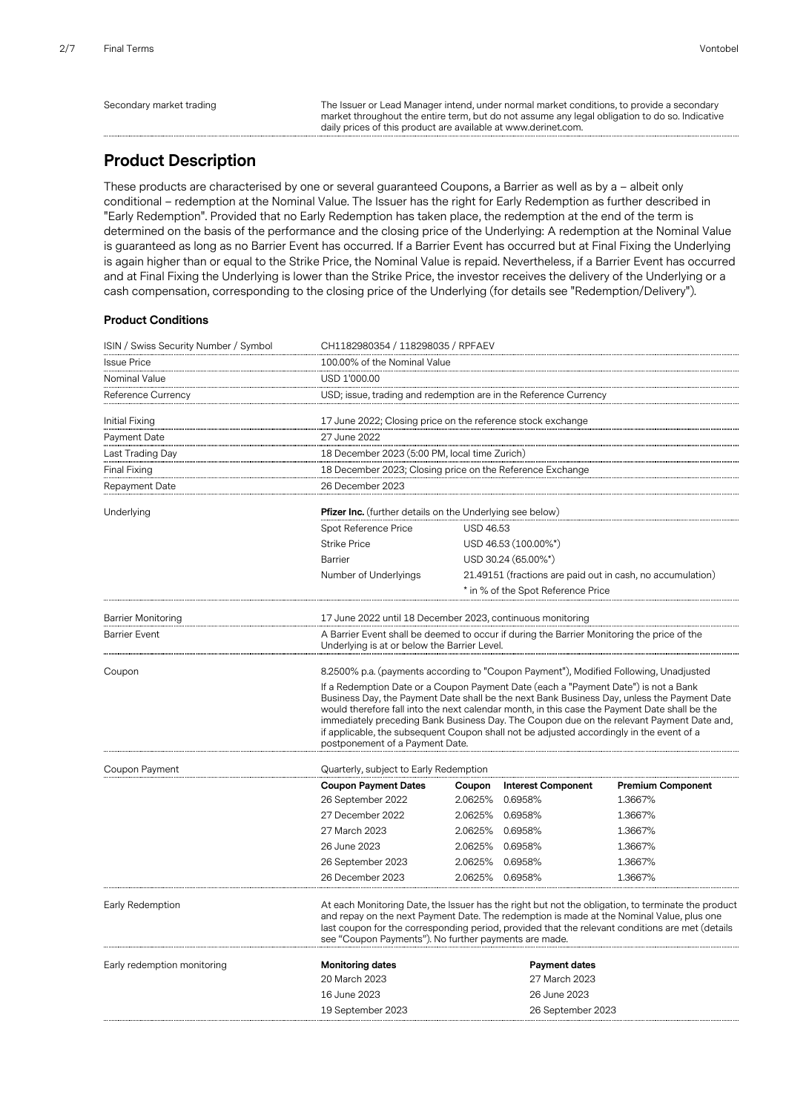Secondary market trading The Issuer or Lead Manager intend, under normal market conditions, to provide a secondary market throughout the entire term, but do not assume any legal obligation to do so. Indicative daily prices of this product are available at www.derinet.com.

# **Product Description**

These products are characterised by one or several guaranteed Coupons, a Barrier as well as by a – albeit only conditional – redemption at the Nominal Value. The Issuer has the right for Early Redemption as further described in "Early Redemption". Provided that no Early Redemption has taken place, the redemption at the end of the term is determined on the basis of the performance and the closing price of the Underlying: A redemption at the Nominal Value is guaranteed as long as no Barrier Event has occurred. If a Barrier Event has occurred but at Final Fixing the Underlying is again higher than or equal to the Strike Price, the Nominal Value is repaid. Nevertheless, if a Barrier Event has occurred and at Final Fixing the Underlying is lower than the Strike Price, the investor receives the delivery of the Underlying or a cash compensation, corresponding to the closing price of the Underlying (for details see "Redemption/Delivery").

# **Product Conditions**

| ISIN / Swiss Security Number / Symbol | CH1182980354 / 118298035 / RPFAEV                                                                                                                                                                                                                                                                                                                                                                                                                                                                               |                  |                                    |                                                            |
|---------------------------------------|-----------------------------------------------------------------------------------------------------------------------------------------------------------------------------------------------------------------------------------------------------------------------------------------------------------------------------------------------------------------------------------------------------------------------------------------------------------------------------------------------------------------|------------------|------------------------------------|------------------------------------------------------------|
| <b>Issue Price</b>                    | 100.00% of the Nominal Value                                                                                                                                                                                                                                                                                                                                                                                                                                                                                    |                  |                                    |                                                            |
| Nominal Value                         | USD 1'000.00                                                                                                                                                                                                                                                                                                                                                                                                                                                                                                    |                  |                                    |                                                            |
| Reference Currency                    | USD; issue, trading and redemption are in the Reference Currency                                                                                                                                                                                                                                                                                                                                                                                                                                                |                  |                                    |                                                            |
| Initial Fixing                        | 17 June 2022; Closing price on the reference stock exchange                                                                                                                                                                                                                                                                                                                                                                                                                                                     |                  |                                    |                                                            |
| Payment Date                          | 27 June 2022                                                                                                                                                                                                                                                                                                                                                                                                                                                                                                    |                  |                                    |                                                            |
| Last Trading Day                      | 18 December 2023 (5:00 PM, local time Zurich)                                                                                                                                                                                                                                                                                                                                                                                                                                                                   |                  |                                    |                                                            |
| Final Fixing                          | 18 December 2023; Closing price on the Reference Exchange                                                                                                                                                                                                                                                                                                                                                                                                                                                       |                  |                                    |                                                            |
| Repayment Date                        | 26 December 2023                                                                                                                                                                                                                                                                                                                                                                                                                                                                                                |                  |                                    |                                                            |
| Underlying                            | <b>Pfizer Inc.</b> (further details on the Underlying see below)                                                                                                                                                                                                                                                                                                                                                                                                                                                |                  |                                    |                                                            |
|                                       | Spot Reference Price                                                                                                                                                                                                                                                                                                                                                                                                                                                                                            | <b>USD 46.53</b> |                                    |                                                            |
|                                       | <b>Strike Price</b>                                                                                                                                                                                                                                                                                                                                                                                                                                                                                             |                  | USD 46.53 (100.00%*)               |                                                            |
|                                       | Barrier                                                                                                                                                                                                                                                                                                                                                                                                                                                                                                         |                  | USD 30.24 (65.00%*)                |                                                            |
|                                       | Number of Underlyings                                                                                                                                                                                                                                                                                                                                                                                                                                                                                           |                  |                                    | 21.49151 (fractions are paid out in cash, no accumulation) |
|                                       |                                                                                                                                                                                                                                                                                                                                                                                                                                                                                                                 |                  | * in % of the Spot Reference Price |                                                            |
| <b>Barrier Monitoring</b>             | 17 June 2022 until 18 December 2023, continuous monitoring                                                                                                                                                                                                                                                                                                                                                                                                                                                      |                  |                                    |                                                            |
| <b>Barrier Event</b>                  | A Barrier Event shall be deemed to occur if during the Barrier Monitoring the price of the<br>Underlying is at or below the Barrier Level.                                                                                                                                                                                                                                                                                                                                                                      |                  |                                    |                                                            |
| Coupon                                | 8.2500% p.a. (payments according to "Coupon Payment"), Modified Following, Unadjusted                                                                                                                                                                                                                                                                                                                                                                                                                           |                  |                                    |                                                            |
|                                       | If a Redemption Date or a Coupon Payment Date (each a "Payment Date") is not a Bank<br>Business Day, the Payment Date shall be the next Bank Business Day, unless the Payment Date<br>would therefore fall into the next calendar month, in this case the Payment Date shall be the<br>immediately preceding Bank Business Day. The Coupon due on the relevant Payment Date and,<br>if applicable, the subsequent Coupon shall not be adjusted accordingly in the event of a<br>postponement of a Payment Date. |                  |                                    |                                                            |
| Coupon Payment                        | Quarterly, subject to Early Redemption                                                                                                                                                                                                                                                                                                                                                                                                                                                                          |                  |                                    |                                                            |
|                                       | <b>Coupon Payment Dates</b>                                                                                                                                                                                                                                                                                                                                                                                                                                                                                     | Coupon           | <b>Interest Component</b>          | <b>Premium Component</b>                                   |
|                                       | 26 September 2022                                                                                                                                                                                                                                                                                                                                                                                                                                                                                               | 2.0625%          | 0.6958%                            | 1.3667%                                                    |
|                                       | 27 December 2022                                                                                                                                                                                                                                                                                                                                                                                                                                                                                                | 2.0625% 0.6958%  |                                    | 1.3667%                                                    |
|                                       | 27 March 2023                                                                                                                                                                                                                                                                                                                                                                                                                                                                                                   | 2.0625%          | 0.6958%                            | 1.3667%                                                    |
|                                       | 26 June 2023                                                                                                                                                                                                                                                                                                                                                                                                                                                                                                    | 2.0625% 0.6958%  |                                    | 1.3667%                                                    |
|                                       | 26 September 2023                                                                                                                                                                                                                                                                                                                                                                                                                                                                                               | 2.0625%          | 0.6958%                            | 1.3667%                                                    |
|                                       | 26 December 2023                                                                                                                                                                                                                                                                                                                                                                                                                                                                                                | 2.0625%          | 0.6958%                            | 1.3667%                                                    |
| Early Redemption                      | At each Monitoring Date, the Issuer has the right but not the obligation, to terminate the product<br>and repay on the next Payment Date. The redemption is made at the Nominal Value, plus one<br>last coupon for the corresponding period, provided that the relevant conditions are met (details<br>see "Coupon Payments"). No further payments are made.                                                                                                                                                    |                  |                                    |                                                            |
| Early redemption monitoring           | <b>Monitoring dates</b>                                                                                                                                                                                                                                                                                                                                                                                                                                                                                         |                  | Payment dates                      |                                                            |
|                                       | 20 March 2023                                                                                                                                                                                                                                                                                                                                                                                                                                                                                                   | 27 March 2023    |                                    |                                                            |
|                                       | 16 June 2023                                                                                                                                                                                                                                                                                                                                                                                                                                                                                                    | 26 June 2023     |                                    |                                                            |
|                                       | 19 September 2023                                                                                                                                                                                                                                                                                                                                                                                                                                                                                               |                  | 26 September 2023                  |                                                            |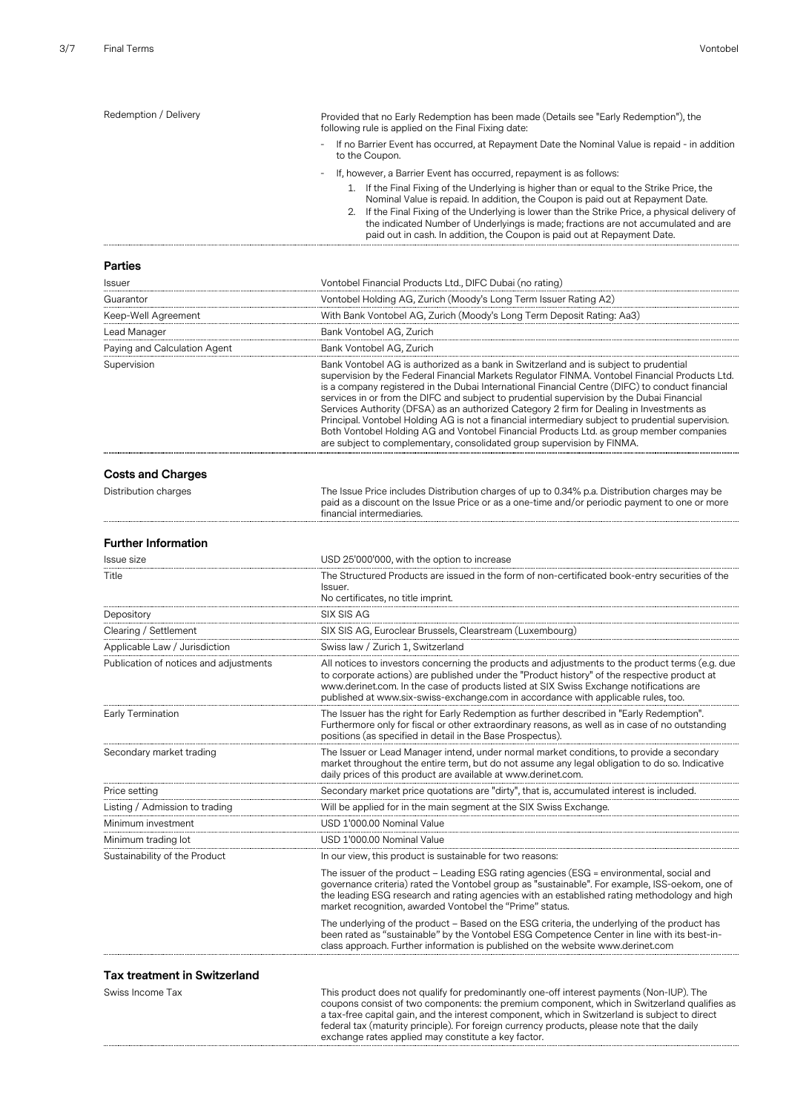| Redemption / Delivery                  | Provided that no Early Redemption has been made (Details see "Early Redemption"), the                                                                                                                                                                                                                                                                                                                                                                                                                                                                                                                                                                                                                                                                        |  |  |  |
|----------------------------------------|--------------------------------------------------------------------------------------------------------------------------------------------------------------------------------------------------------------------------------------------------------------------------------------------------------------------------------------------------------------------------------------------------------------------------------------------------------------------------------------------------------------------------------------------------------------------------------------------------------------------------------------------------------------------------------------------------------------------------------------------------------------|--|--|--|
|                                        | following rule is applied on the Final Fixing date:<br>If no Barrier Event has occurred, at Repayment Date the Nominal Value is repaid - in addition<br>to the Coupon.                                                                                                                                                                                                                                                                                                                                                                                                                                                                                                                                                                                       |  |  |  |
|                                        |                                                                                                                                                                                                                                                                                                                                                                                                                                                                                                                                                                                                                                                                                                                                                              |  |  |  |
|                                        | If, however, a Barrier Event has occurred, repayment is as follows:<br>1. If the Final Fixing of the Underlying is higher than or equal to the Strike Price, the<br>Nominal Value is repaid. In addition, the Coupon is paid out at Repayment Date.<br>If the Final Fixing of the Underlying is lower than the Strike Price, a physical delivery of<br>2.<br>the indicated Number of Underlyings is made; fractions are not accumulated and are<br>paid out in cash. In addition, the Coupon is paid out at Repayment Date.                                                                                                                                                                                                                                  |  |  |  |
| <b>Parties</b>                         |                                                                                                                                                                                                                                                                                                                                                                                                                                                                                                                                                                                                                                                                                                                                                              |  |  |  |
| Issuer                                 | Vontobel Financial Products Ltd., DIFC Dubai (no rating)                                                                                                                                                                                                                                                                                                                                                                                                                                                                                                                                                                                                                                                                                                     |  |  |  |
| Guarantor                              | Vontobel Holding AG, Zurich (Moody's Long Term Issuer Rating A2)                                                                                                                                                                                                                                                                                                                                                                                                                                                                                                                                                                                                                                                                                             |  |  |  |
| Keep-Well Agreement                    | With Bank Vontobel AG, Zurich (Moody's Long Term Deposit Rating: Aa3)                                                                                                                                                                                                                                                                                                                                                                                                                                                                                                                                                                                                                                                                                        |  |  |  |
| Lead Manager                           | Bank Vontobel AG, Zurich                                                                                                                                                                                                                                                                                                                                                                                                                                                                                                                                                                                                                                                                                                                                     |  |  |  |
| Paying and Calculation Agent           | Bank Vontobel AG, Zurich                                                                                                                                                                                                                                                                                                                                                                                                                                                                                                                                                                                                                                                                                                                                     |  |  |  |
| Supervision                            | Bank Vontobel AG is authorized as a bank in Switzerland and is subject to prudential<br>supervision by the Federal Financial Markets Regulator FINMA. Vontobel Financial Products Ltd.<br>is a company registered in the Dubai International Financial Centre (DIFC) to conduct financial<br>services in or from the DIFC and subject to prudential supervision by the Dubai Financial<br>Services Authority (DFSA) as an authorized Category 2 firm for Dealing in Investments as<br>Principal. Vontobel Holding AG is not a financial intermediary subject to prudential supervision.<br>Both Vontobel Holding AG and Vontobel Financial Products Ltd. as group member companies<br>are subject to complementary, consolidated group supervision by FINMA. |  |  |  |
| <b>Costs and Charges</b>               |                                                                                                                                                                                                                                                                                                                                                                                                                                                                                                                                                                                                                                                                                                                                                              |  |  |  |
| Distribution charges                   | The Issue Price includes Distribution charges of up to 0.34% p.a. Distribution charges may be<br>paid as a discount on the Issue Price or as a one-time and/or periodic payment to one or more<br>financial intermediaries.                                                                                                                                                                                                                                                                                                                                                                                                                                                                                                                                  |  |  |  |
| <b>Further Information</b>             |                                                                                                                                                                                                                                                                                                                                                                                                                                                                                                                                                                                                                                                                                                                                                              |  |  |  |
| <b>Issue size</b>                      | USD 25'000'000, with the option to increase                                                                                                                                                                                                                                                                                                                                                                                                                                                                                                                                                                                                                                                                                                                  |  |  |  |
| Title                                  | The Structured Products are issued in the form of non-certificated book-entry securities of the<br>Issuer.                                                                                                                                                                                                                                                                                                                                                                                                                                                                                                                                                                                                                                                   |  |  |  |
|                                        | No certificates, no title imprint.                                                                                                                                                                                                                                                                                                                                                                                                                                                                                                                                                                                                                                                                                                                           |  |  |  |
| Depository<br>Clearing / Settlement    | SIX SIS AG                                                                                                                                                                                                                                                                                                                                                                                                                                                                                                                                                                                                                                                                                                                                                   |  |  |  |
| Applicable Law / Jurisdiction          | SIX SIS AG, Euroclear Brussels, Clearstream (Luxembourg)<br>Swiss law / Zurich 1. Switzerland                                                                                                                                                                                                                                                                                                                                                                                                                                                                                                                                                                                                                                                                |  |  |  |
| Publication of notices and adjustments | All notices to investors concerning the products and adjustments to the product terms (e.g. due                                                                                                                                                                                                                                                                                                                                                                                                                                                                                                                                                                                                                                                              |  |  |  |
|                                        | to corporate actions) are published under the "Product history" of the respective product at<br>www.derinet.com. In the case of products listed at SIX Swiss Exchange notifications are<br>published at www.six-swiss-exchange.com in accordance with applicable rules, too.                                                                                                                                                                                                                                                                                                                                                                                                                                                                                 |  |  |  |
| Early Termination                      | The Issuer has the right for Early Redemption as further described in "Early Redemption".<br>Furthermore only for fiscal or other extraordinary reasons, as well as in case of no outstanding<br>positions (as specified in detail in the Base Prospectus).                                                                                                                                                                                                                                                                                                                                                                                                                                                                                                  |  |  |  |
| Secondary market trading               | The Issuer or Lead Manager intend, under normal market conditions, to provide a secondary<br>market throughout the entire term, but do not assume any legal obligation to do so. Indicative<br>daily prices of this product are available at www.derinet.com.                                                                                                                                                                                                                                                                                                                                                                                                                                                                                                |  |  |  |
| Price setting                          | Secondary market price quotations are "dirty", that is, accumulated interest is included.                                                                                                                                                                                                                                                                                                                                                                                                                                                                                                                                                                                                                                                                    |  |  |  |
| Listing / Admission to trading         | Will be applied for in the main segment at the SIX Swiss Exchange.                                                                                                                                                                                                                                                                                                                                                                                                                                                                                                                                                                                                                                                                                           |  |  |  |
| Minimum investment                     | USD 1'000.00 Nominal Value                                                                                                                                                                                                                                                                                                                                                                                                                                                                                                                                                                                                                                                                                                                                   |  |  |  |
| Minimum trading lot                    | USD 1'000.00 Nominal Value                                                                                                                                                                                                                                                                                                                                                                                                                                                                                                                                                                                                                                                                                                                                   |  |  |  |
| Sustainability of the Product          | In our view, this product is sustainable for two reasons:                                                                                                                                                                                                                                                                                                                                                                                                                                                                                                                                                                                                                                                                                                    |  |  |  |
|                                        | The issuer of the product – Leading ESG rating agencies (ESG = environmental, social and<br>governance criteria) rated the Vontobel group as "sustainable". For example, ISS-oekom, one of<br>the leading ESG research and rating agencies with an established rating methodology and high<br>market recognition, awarded Vontobel the "Prime" status.                                                                                                                                                                                                                                                                                                                                                                                                       |  |  |  |
|                                        | The underlying of the product – Based on the ESG criteria, the underlying of the product has<br>been rated as "sustainable" by the Vontobel ESG Competence Center in line with its best-in-<br>class approach. Further information is published on the website www.derinet.com                                                                                                                                                                                                                                                                                                                                                                                                                                                                               |  |  |  |
| <b>Tax treatment in Switzerland</b>    |                                                                                                                                                                                                                                                                                                                                                                                                                                                                                                                                                                                                                                                                                                                                                              |  |  |  |
| Swiss Income Tax                       | This product does not qualify for predominantly one-off interest payments (Non-IUP). The<br>coupons consist of two components: the premium component, which in Switzerland qualifies as<br>a tax-free capital gain, and the interest component, which in Switzerland is subject to direct<br>federal tax (maturity principle). For foreign currency products, please note that the daily                                                                                                                                                                                                                                                                                                                                                                     |  |  |  |

exchange rates applied may constitute a key factor.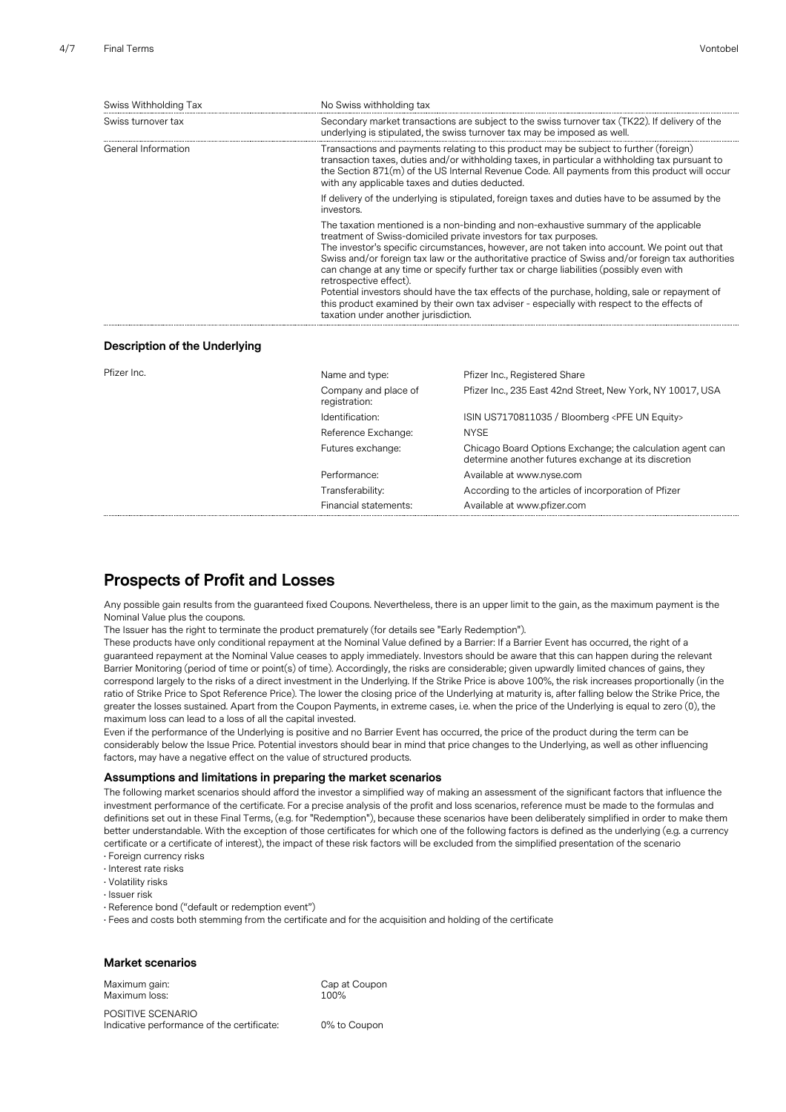| Swiss Withholding Tax         | No Swiss withholding tax                                                                                                                                                                                                                                                                                                                                                                                                                                                                                                                                                                                                                                                                                                     |
|-------------------------------|------------------------------------------------------------------------------------------------------------------------------------------------------------------------------------------------------------------------------------------------------------------------------------------------------------------------------------------------------------------------------------------------------------------------------------------------------------------------------------------------------------------------------------------------------------------------------------------------------------------------------------------------------------------------------------------------------------------------------|
| Swiss turnover tax            | Secondary market transactions are subject to the swiss turnover tax (TK22). If delivery of the<br>underlying is stipulated, the swiss turnover tax may be imposed as well.                                                                                                                                                                                                                                                                                                                                                                                                                                                                                                                                                   |
| General Information           | Transactions and payments relating to this product may be subject to further (foreign)<br>transaction taxes, duties and/or withholding taxes, in particular a withholding tax pursuant to<br>the Section $871(m)$ of the US Internal Revenue Code. All payments from this product will occur<br>with any applicable taxes and duties deducted.                                                                                                                                                                                                                                                                                                                                                                               |
|                               | If delivery of the underlying is stipulated, foreign taxes and duties have to be assumed by the<br>investors.                                                                                                                                                                                                                                                                                                                                                                                                                                                                                                                                                                                                                |
|                               | The taxation mentioned is a non-binding and non-exhaustive summary of the applicable<br>treatment of Swiss-domiciled private investors for tax purposes.<br>The investor's specific circumstances, however, are not taken into account. We point out that<br>Swiss and/or foreign tax law or the authoritative practice of Swiss and/or foreign tax authorities<br>can change at any time or specify further tax or charge liabilities (possibly even with<br>retrospective effect).<br>Potential investors should have the tax effects of the purchase, holding, sale or repayment of<br>this product examined by their own tax adviser - especially with respect to the effects of<br>taxation under another jurisdiction. |
| Description of the Underlying |                                                                                                                                                                                                                                                                                                                                                                                                                                                                                                                                                                                                                                                                                                                              |

| Pfizer Inc. | Name and type:                        | Pfizer Inc., Registered Share                                                                                     |
|-------------|---------------------------------------|-------------------------------------------------------------------------------------------------------------------|
|             | Company and place of<br>registration: | Pfizer Inc., 235 East 42nd Street, New York, NY 10017, USA                                                        |
|             | Identification:                       | ISIN US7170811035 / Bloomberg <pfe equity="" un=""></pfe>                                                         |
|             | Reference Exchange:                   | <b>NYSE</b>                                                                                                       |
|             | Futures exchange:                     | Chicago Board Options Exchange; the calculation agent can<br>determine another futures exchange at its discretion |
|             | Performance:                          | Available at www.nyse.com                                                                                         |
|             | Transferability:                      | According to the articles of incorporation of Pfizer                                                              |
|             | Financial statements:                 | Available at www.pfizer.com                                                                                       |
|             |                                       |                                                                                                                   |

# **Prospects of Profit and Losses**

Any possible gain results from the guaranteed fixed Coupons. Nevertheless, there is an upper limit to the gain, as the maximum payment is the Nominal Value plus the coupons.

The Issuer has the right to terminate the product prematurely (for details see "Early Redemption").

These products have only conditional repayment at the Nominal Value defined by a Barrier: If a Barrier Event has occurred, the right of a guaranteed repayment at the Nominal Value ceases to apply immediately. Investors should be aware that this can happen during the relevant Barrier Monitoring (period of time or point(s) of time). Accordingly, the risks are considerable; given upwardly limited chances of gains, they correspond largely to the risks of a direct investment in the Underlying. If the Strike Price is above 100%, the risk increases proportionally (in the ratio of Strike Price to Spot Reference Price). The lower the closing price of the Underlying at maturity is, after falling below the Strike Price, the greater the losses sustained. Apart from the Coupon Payments, in extreme cases, i.e. when the price of the Underlying is equal to zero (0), the maximum loss can lead to a loss of all the capital invested.

Even if the performance of the Underlying is positive and no Barrier Event has occurred, the price of the product during the term can be considerably below the Issue Price. Potential investors should bear in mind that price changes to the Underlying, as well as other influencing factors, may have a negative effect on the value of structured products.

### **Assumptions and limitations in preparing the market scenarios**

The following market scenarios should afford the investor a simplified way of making an assessment of the significant factors that influence the investment performance of the certificate. For a precise analysis of the profit and loss scenarios, reference must be made to the formulas and definitions set out in these Final Terms, (e.g. for "Redemption"), because these scenarios have been deliberately simplified in order to make them better understandable. With the exception of those certificates for which one of the following factors is defined as the underlying (e.g. a currency certificate or a certificate of interest), the impact of these risk factors will be excluded from the simplified presentation of the scenario • Foreign currency risks

- Interest rate risks
- Volatility risks
- Issuer risk
- Reference bond ("default or redemption event")
- Fees and costs both stemming from the certificate and for the acquisition and holding of the certificate

# **Market scenarios**

Maximum loss: 100%

Maximum gain: Cap at Coupon

POSITIVE SCENARIO Indicative performance of the certificate: 0% to Coupon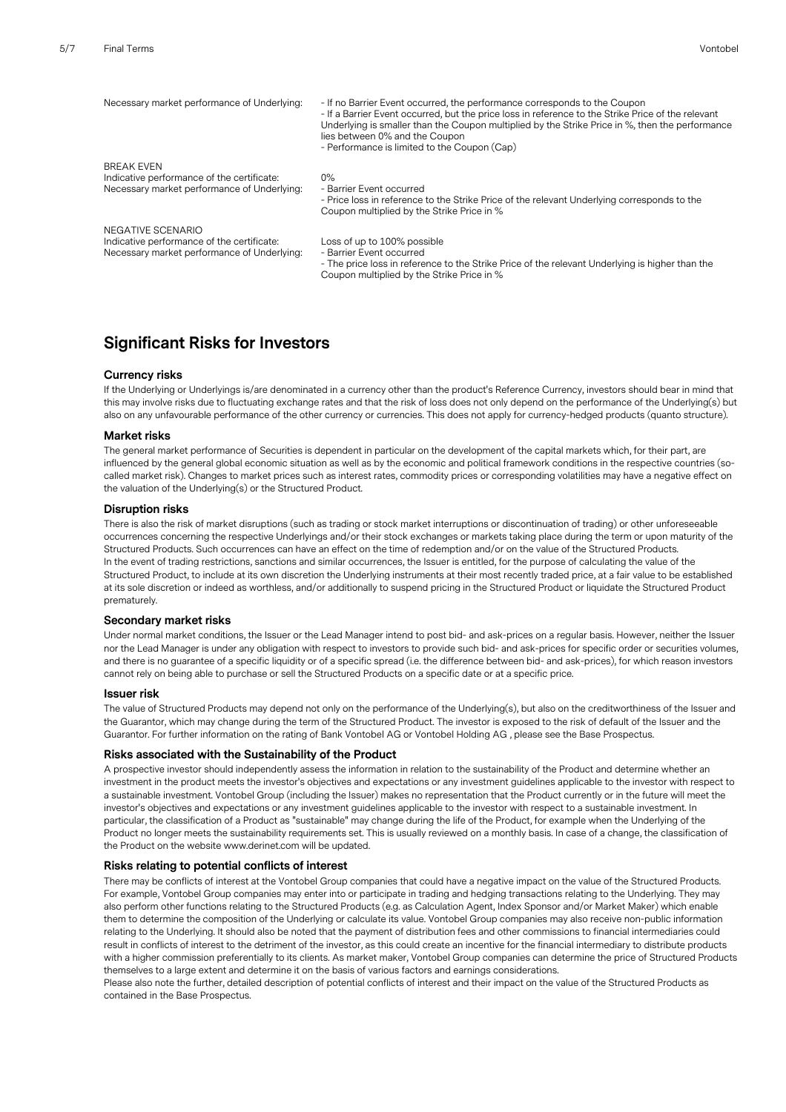| Necessary market performance of Underlying:                                                                    | - If no Barrier Event occurred, the performance corresponds to the Coupon<br>- If a Barrier Event occurred, but the price loss in reference to the Strike Price of the relevant<br>Underlying is smaller than the Coupon multiplied by the Strike Price in %, then the performance<br>lies between 0% and the Coupon<br>- Performance is limited to the Coupon (Cap) |
|----------------------------------------------------------------------------------------------------------------|----------------------------------------------------------------------------------------------------------------------------------------------------------------------------------------------------------------------------------------------------------------------------------------------------------------------------------------------------------------------|
| <b>BREAK EVEN</b><br>Indicative performance of the certificate:<br>Necessary market performance of Underlying: | $0\%$<br>- Barrier Event occurred<br>- Price loss in reference to the Strike Price of the relevant Underlying corresponds to the<br>Coupon multiplied by the Strike Price in %                                                                                                                                                                                       |
| NEGATIVE SCENARIO<br>Indicative performance of the certificate:<br>Necessary market performance of Underlying: | Loss of up to 100% possible<br>- Barrier Event occurred<br>- The price loss in reference to the Strike Price of the relevant Underlying is higher than the<br>Coupon multiplied by the Strike Price in %                                                                                                                                                             |

# **Significant Risks for Investors**

### **Currency risks**

If the Underlying or Underlyings is/are denominated in a currency other than the product's Reference Currency, investors should bear in mind that this may involve risks due to fluctuating exchange rates and that the risk of loss does not only depend on the performance of the Underlying(s) but also on any unfavourable performance of the other currency or currencies. This does not apply for currency-hedged products (quanto structure).

#### **Market risks**

The general market performance of Securities is dependent in particular on the development of the capital markets which, for their part, are influenced by the general global economic situation as well as by the economic and political framework conditions in the respective countries (socalled market risk). Changes to market prices such as interest rates, commodity prices or corresponding volatilities may have a negative effect on the valuation of the Underlying(s) or the Structured Product.

#### **Disruption risks**

There is also the risk of market disruptions (such as trading or stock market interruptions or discontinuation of trading) or other unforeseeable occurrences concerning the respective Underlyings and/or their stock exchanges or markets taking place during the term or upon maturity of the Structured Products. Such occurrences can have an effect on the time of redemption and/or on the value of the Structured Products. In the event of trading restrictions, sanctions and similar occurrences, the Issuer is entitled, for the purpose of calculating the value of the Structured Product, to include at its own discretion the Underlying instruments at their most recently traded price, at a fair value to be established at its sole discretion or indeed as worthless, and/or additionally to suspend pricing in the Structured Product or liquidate the Structured Product prematurely.

#### **Secondary market risks**

Under normal market conditions, the Issuer or the Lead Manager intend to post bid- and ask-prices on a regular basis. However, neither the Issuer nor the Lead Manager is under any obligation with respect to investors to provide such bid- and ask-prices for specific order or securities volumes, and there is no guarantee of a specific liquidity or of a specific spread (i.e. the difference between bid- and ask-prices), for which reason investors cannot rely on being able to purchase or sell the Structured Products on a specific date or at a specific price.

### **Issuer risk**

The value of Structured Products may depend not only on the performance of the Underlying(s), but also on the creditworthiness of the Issuer and the Guarantor, which may change during the term of the Structured Product. The investor is exposed to the risk of default of the Issuer and the Guarantor. For further information on the rating of Bank Vontobel AG or Vontobel Holding AG , please see the Base Prospectus.

#### **Risks associated with the Sustainability of the Product**

A prospective investor should independently assess the information in relation to the sustainability of the Product and determine whether an investment in the product meets the investor's objectives and expectations or any investment guidelines applicable to the investor with respect to a sustainable investment. Vontobel Group (including the Issuer) makes no representation that the Product currently or in the future will meet the investor's objectives and expectations or any investment guidelines applicable to the investor with respect to a sustainable investment. In particular, the classification of a Product as "sustainable" may change during the life of the Product, for example when the Underlying of the Product no longer meets the sustainability requirements set. This is usually reviewed on a monthly basis. In case of a change, the classification of the Product on the website www.derinet.com will be updated.

#### **Risks relating to potential conflicts of interest**

There may be conflicts of interest at the Vontobel Group companies that could have a negative impact on the value of the Structured Products. For example, Vontobel Group companies may enter into or participate in trading and hedging transactions relating to the Underlying. They may also perform other functions relating to the Structured Products (e.g. as Calculation Agent, Index Sponsor and/or Market Maker) which enable them to determine the composition of the Underlying or calculate its value. Vontobel Group companies may also receive non-public information relating to the Underlying. It should also be noted that the payment of distribution fees and other commissions to financial intermediaries could result in conflicts of interest to the detriment of the investor, as this could create an incentive for the financial intermediary to distribute products with a higher commission preferentially to its clients. As market maker, Vontobel Group companies can determine the price of Structured Products themselves to a large extent and determine it on the basis of various factors and earnings considerations.

Please also note the further, detailed description of potential conflicts of interest and their impact on the value of the Structured Products as contained in the Base Prospectus.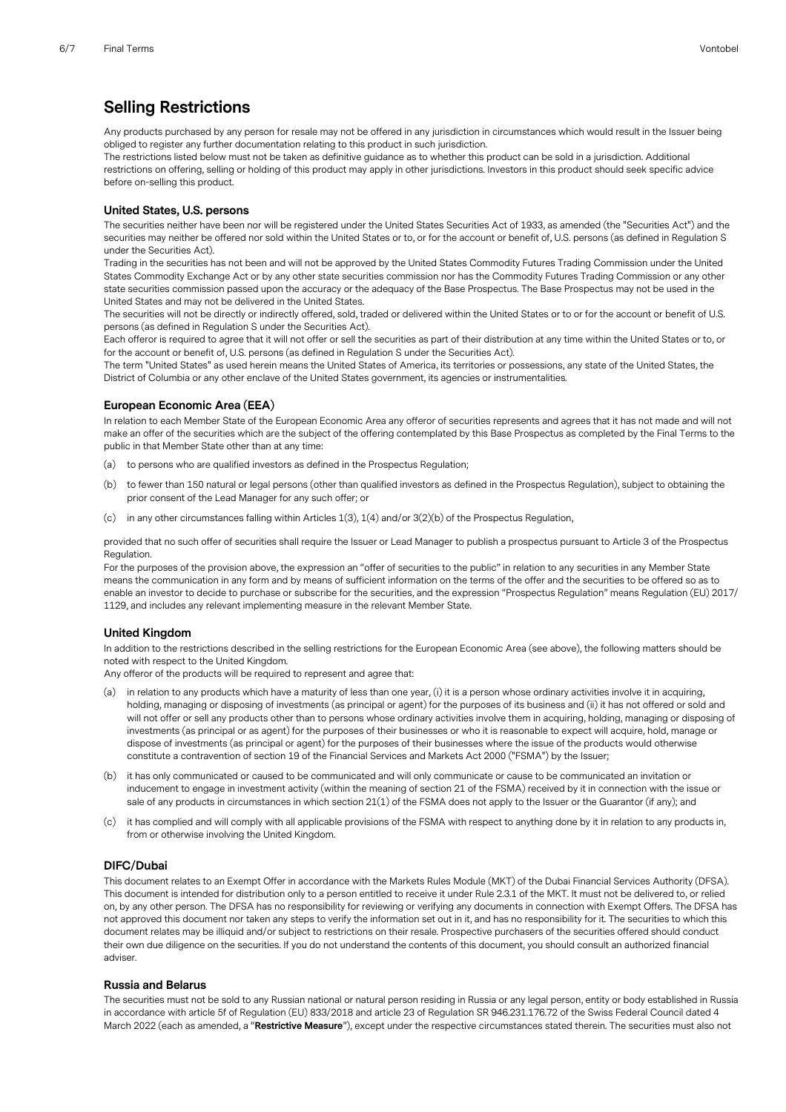# **Selling Restrictions**

Any products purchased by any person for resale may not be offered in any jurisdiction in circumstances which would result in the Issuer being obliged to register any further documentation relating to this product in such jurisdiction.

The restrictions listed below must not be taken as definitive guidance as to whether this product can be sold in a jurisdiction. Additional restrictions on offering, selling or holding of this product may apply in other jurisdictions. Investors in this product should seek specific advice before on-selling this product.

#### **United States, U.S. persons**

The securities neither have been nor will be registered under the United States Securities Act of 1933, as amended (the "Securities Act") and the securities may neither be offered nor sold within the United States or to, or for the account or benefit of, U.S. persons (as defined in Regulation S under the Securities Act).

Trading in the securities has not been and will not be approved by the United States Commodity Futures Trading Commission under the United States Commodity Exchange Act or by any other state securities commission nor has the Commodity Futures Trading Commission or any other state securities commission passed upon the accuracy or the adequacy of the Base Prospectus. The Base Prospectus may not be used in the United States and may not be delivered in the United States.

The securities will not be directly or indirectly offered, sold, traded or delivered within the United States or to or for the account or benefit of U.S. persons (as defined in Regulation S under the Securities Act).

Each offeror is required to agree that it will not offer or sell the securities as part of their distribution at any time within the United States or to, or for the account or benefit of, U.S. persons (as defined in Regulation S under the Securities Act).

The term "United States" as used herein means the United States of America, its territories or possessions, any state of the United States, the District of Columbia or any other enclave of the United States government, its agencies or instrumentalities.

### **European Economic Area (EEA)**

In relation to each Member State of the European Economic Area any offeror of securities represents and agrees that it has not made and will not make an offer of the securities which are the subject of the offering contemplated by this Base Prospectus as completed by the Final Terms to the public in that Member State other than at any time:

- (a) to persons who are qualified investors as defined in the Prospectus Regulation;
- (b) to fewer than 150 natural or legal persons (other than qualified investors as defined in the Prospectus Regulation), subject to obtaining the prior consent of the Lead Manager for any such offer; or
- (c) in any other circumstances falling within Articles 1(3), 1(4) and/or 3(2)(b) of the Prospectus Regulation,

provided that no such offer of securities shall require the Issuer or Lead Manager to publish a prospectus pursuant to Article 3 of the Prospectus **Regulation** 

For the purposes of the provision above, the expression an "offer of securities to the public" in relation to any securities in any Member State means the communication in any form and by means of sufficient information on the terms of the offer and the securities to be offered so as to enable an investor to decide to purchase or subscribe for the securities, and the expression "Prospectus Regulation" means Regulation (EU) 2017/ 1129, and includes any relevant implementing measure in the relevant Member State.

### **United Kingdom**

In addition to the restrictions described in the selling restrictions for the European Economic Area (see above), the following matters should be noted with respect to the United Kingdom.

Any offeror of the products will be required to represent and agree that:

- (a) in relation to any products which have a maturity of less than one year, (i) it is a person whose ordinary activities involve it in acquiring, holding, managing or disposing of investments (as principal or agent) for the purposes of its business and (ii) it has not offered or sold and will not offer or sell any products other than to persons whose ordinary activities involve them in acquiring, holding, managing or disposing of investments (as principal or as agent) for the purposes of their businesses or who it is reasonable to expect will acquire, hold, manage or dispose of investments (as principal or agent) for the purposes of their businesses where the issue of the products would otherwise constitute a contravention of section 19 of the Financial Services and Markets Act 2000 ("FSMA") by the Issuer;
- (b) it has only communicated or caused to be communicated and will only communicate or cause to be communicated an invitation or inducement to engage in investment activity (within the meaning of section 21 of the FSMA) received by it in connection with the issue or sale of any products in circumstances in which section 21(1) of the FSMA does not apply to the Issuer or the Guarantor (if any); and
- (c) it has complied and will comply with all applicable provisions of the FSMA with respect to anything done by it in relation to any products in, from or otherwise involving the United Kingdom.

### **DIFC/Dubai**

This document relates to an Exempt Offer in accordance with the Markets Rules Module (MKT) of the Dubai Financial Services Authority (DFSA). This document is intended for distribution only to a person entitled to receive it under Rule 2.3.1 of the MKT. It must not be delivered to, or relied on, by any other person. The DFSA has no responsibility for reviewing or verifying any documents in connection with Exempt Offers. The DFSA has not approved this document nor taken any steps to verify the information set out in it, and has no responsibility for it. The securities to which this document relates may be illiquid and/or subject to restrictions on their resale. Prospective purchasers of the securities offered should conduct their own due diligence on the securities. If you do not understand the contents of this document, you should consult an authorized financial adviser.

#### **Russia and Belarus**

The securities must not be sold to any Russian national or natural person residing in Russia or any legal person, entity or body established in Russia in accordance with article 5f of Regulation (EU) 833/2018 and article 23 of Regulation SR 946.231.176.72 of the Swiss Federal Council dated 4 March 2022 (each as amended, a "**Restrictive Measure**"), except under the respective circumstances stated therein. The securities must also not